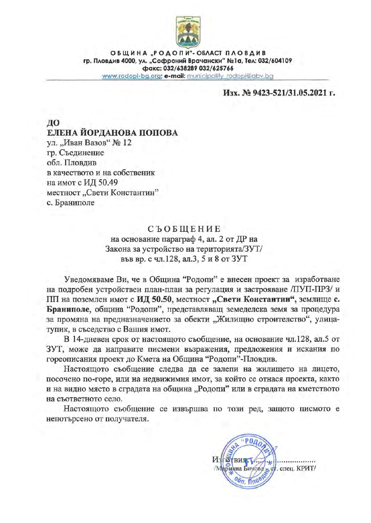

ОБЩИНА "РОДОПИ"-ОБЛАСТ ПЛОВДИВ гр. Пловдив 4000, ул. "Софроний Врачански" №1а, Тел: 032/604109 факс: 032/638289 032/625766 www.rodopl-bg.org; e-mail: municipality\_rodopl@abv.bc

Изх. № 9423-521/31.05.2021 г.

# ДО ЕЛЕНА ЙОРДАНОВА ПОПОВА ул. "Иван Вазов" № 12 гр. Съединение обл. Пловдив в качеството и на собственик на имот с ИД 50.49 местност "Свети Константин" с. Браниполе

### СЪОБЩЕНИЕ

на основание параграф 4, ал. 2 от ДР на Закона за устройство на територията/ЗУТ/ във вр. с чл.128, ал.3, 5 и 8 от ЗУТ

Уведомяваме Ви, че в Община "Родопи" е внесен проект за изработване на подробен устройствен план-план за регулация и застрояване /ПУП-ПРЗ/ и ПП на поземлен имот с ИД 50.50, местност "Свети Константин", землище с. Браниполе, община "Родопи", представляващ земеделска земя за процедура за промяна на предназначението за обекти "Жилищно строителство", улицатупик, в съседство с Вашия имот.

В 14-дневен срок от настоящото съобщение, на основание чл.128, ал.5 от ЗУТ, може да направите писмени възражения, предложения и искания по гореописания проект до Кмета на Община "Родопи"-Пловдив.

Настоящото съобщение следва да се залепи на жилището на лицето, посочено по-горе, или на недвижимия имот, за който се отнася проекта, както и на видно място в сградата на община "Родопи" или в сградата на кметството на съответното село.

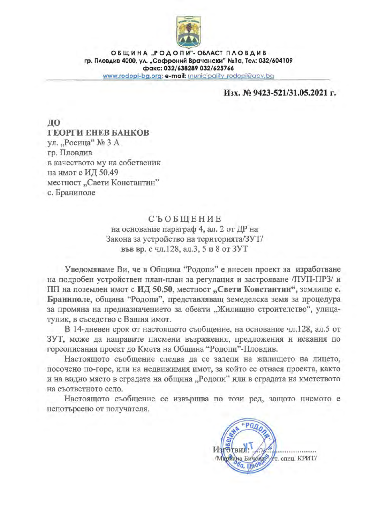

ОБЩИНА "РОДОПИ"-ОБЛАСТ ПЛОВДИВ гр. Пловдив 4000, ул. "Софроний Врачански" №1а, Тел: 032/604109 факс: 032/638289 032/625766 www.rodopi-bg.org; e-mail: municipality\_rodopi@abv.bc

Изх. № 9423-521/31.05.2021 г.

ДО ГЕОРГИ ЕНЕВ БАНКОВ ул. "Росица" № 3 А гр. Пловдив в качеството му на собственик на имот с ИД 50.49 местност "Свети Константин" с. Браниполе

### СЪОБЩЕНИЕ

на основание параграф 4, ал. 2 от ДР на Закона за устройство на територията/ЗУТ/ във вр. с чл.128, ал.3, 5 и 8 от ЗУТ

Уведомяваме Ви, че в Община "Родопи" е внесен проект за изработване на подробен устройствен план-план за регулация и застрояване /ПУП-ПРЗ/ и ПП на поземлен имот с ИД 50.50, местност "Свети Константин", землище с. Браниполе, община "Родопи", представляващ земеделска земя за процедура за промяна на предназначението за обекти "Жилищно строителство", улицатупик, в съседство с Вашия имот.

В 14-дневен срок от настоящото съобщение, на основание чл.128, ал.5 от ЗУТ, може да направите писмени възражения, предложения и искания по гореописания проект до Кмета на Община "Родопи"-Пловдив.

Настоящото съобщение следва да се залепи на жилището на лицето, посочено по-горе, или на недвижимия имот, за който се отнася проекта, както и на видно място в сградата на община "Родопи" или в сградата на кметството на съответното село.

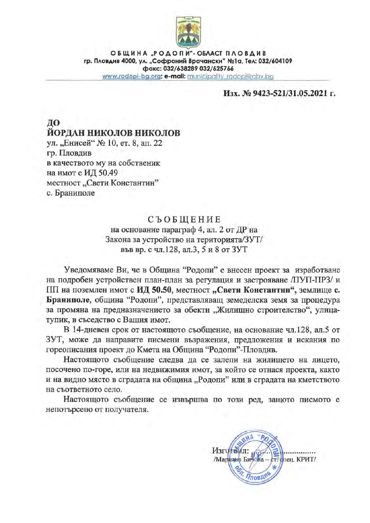

ОБЩИНА "РОДОПИ" - ОБЛАСТ ПЛОВДИВ гр. Пловдив 4000, ул. "Софроний Врачански" №1а, Тел: 032/604109 факс: 032/638289 032/625766 ww.rodopl-bg.org; e-mail: municipality rodopi@abv.be

#### Изх. № 9423-521/31.05.2021 г.

# ДО ЙОРДАН НИКОЛОВ НИКОЛОВ

ул. "Енисей" № 10, ет. 8, ап. 22 гр. Пловдив в качеството му на собственик на имот с ИД 50.49 местност "Свети Константин" с. Браниполе

## СЪОБЩЕНИЕ

на основание параграф 4, ал. 2 от ДР на Закона за устройство на територията/ЗУТ/ във вр. с чл.128, ал.3, 5 и 8 от ЗУТ

Уведомяваме Ви, че в Община "Родопи" е внесен проект за изработване на подробен устройствен план-план за регулация и застрояване /ПУП-ПРЗ/ и ПП на поземлен имот с ИД 50.50, местност "Свети Константин", землище с. Браниполе, община "Родопи", представляващ земеделска земя за процедура за промяна на предназначението за обекти "Жилищно строителство", улицатупик, в съседство с Вашия имот.

В 14-дневен срок от настоящото съобщение, на основание чл.128, ал.5 от ЗУТ, може да направите писмени възражения, предложения и искания по гореописания проект до Кмета на Община "Родопи"-Пловдив.

Настоящото съобщение следва да се залепи на жилището на лицето, посочено по-горе, или на недвижимия имот, за който се отнася проекта, както и на видно място в сградата на община "Родопи" или в сградата на кметството на съответното село.

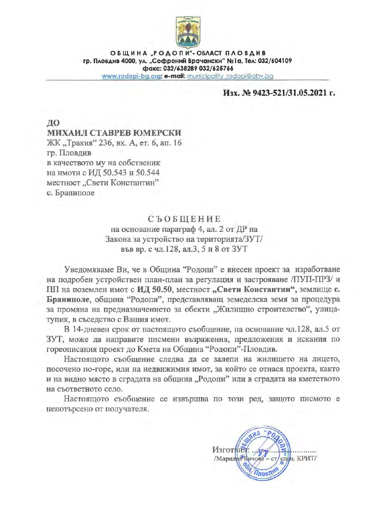

ОБЩИНА "РОДОПИ"-ОБЛАСТ ПЛОВДИВ гр. Пловдив 4000, ул. "Софроний Врачански" №1а, Тел: 032/604109 факс: 032/638289 032/625766 www.rodopi-bg.org; e-mail: municipality rodopi@aby.be

### Изх. № 9423-521/31.05.2021 г.

ДО МИХАИЛ СТАВРЕВ ЮМЕРСКИ ЖК "Тракия" 236, вх. А, ет. 6, ап. 16 гр. Пловдив в качеството му на собственик на имоти с ИД 50.543 и 50.544 местност "Свети Константин" с. Браниполе

## **СЪОБШЕНИЕ**

на основание параграф 4, ал. 2 от ДР на Закона за устройство на територията/ЗУТ/ във вр. с чл. 128, ал.3, 5 и 8 от ЗУТ

Уведомяваме Ви, че в Община "Родопи" е внесен проект за изработване на подробен устройствен план-план за регулация и застрояване /ПУП-ПРЗ/ и ПП на поземлен имот с ИД 50.50, местност "Свети Константин", землище с. Браниполе, община "Родопи", представляващ земеделска земя за процедура за промяна на предназначението за обекти "Жилищно строителство", улицатупик, в съседство с Вашия имот.

В 14-дневен срок от настоящото съобщение, на основание чл.128, ал.5 от ЗУТ, може да направите писмени възражения, предложения и искания по гореописания проект до Кмета на Община "Родопи"-Пловдив.

Настоящото съобщение следва да се залепи на жилището на лицето, посочено по-горе, или на недвижимия имот, за който се отнася проекта, както и на видно място в сградата на община "Родопи" или в сградата на кметството на съответното село.